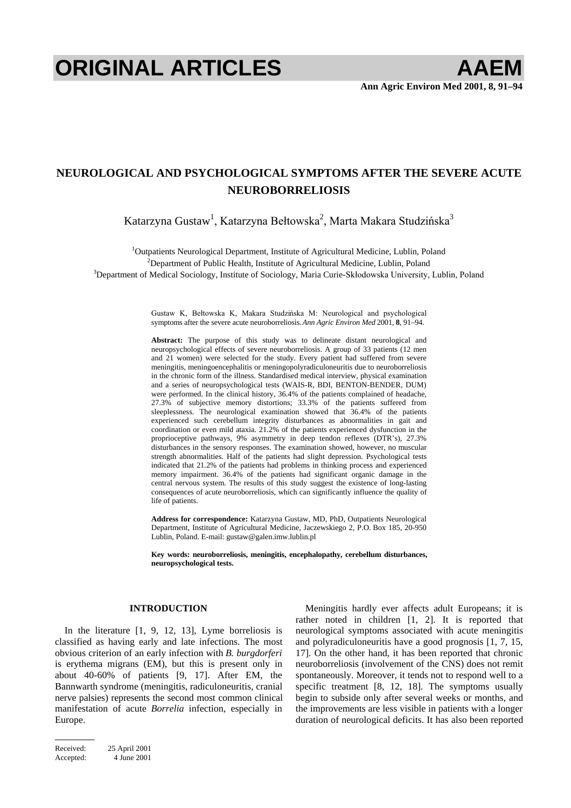# **ORIGINAL ARTICLES AAEM**

# **NEUROLOGICAL AND PSYCHOLOGICAL SYMPTOMS AFTER THE SEVERE ACUTE NEUROBORRELIOSIS**

Katarzyna Gustaw $^1$ , Katarzyna Bełtowska $^2$ , Marta Makara Studzińska $^3$ 

<sup>1</sup>Outpatients Neurological Department, Institute of Agricultural Medicine, Lublin, Poland <sup>2</sup> Department of Public Health Institute of Agricultural Medicine, Lublin, Poland <sup>2</sup>Department of Public Health, Institute of Agricultural Medicine, Lublin, Poland

 ${}^{3}$ Department of Medical Sociology, Institute of Sociology, Maria Curie-Skłodowska University, Lublin, Poland

Gustaw K, Bełtowska K, Makara Studzińska M: Neurological and psychological symptoms after the severe acute neuroborreliosis. *Ann Agric Environ Med* 2001, **8**, 91–94.

**Abstract:** The purpose of this study was to delineate distant neurological and neuropsychological effects of severe neuroborreliosis. A group of 33 patients (12 men and 21 women) were selected for the study. Every patient had suffered from severe meningitis, meningoencephalitis or meningopolyradiculoneuritis due to neuroborreliosis in the chronic form of the illness. Standardised medical interview, physical examination and a series of neuropsychological tests (WAIS-R, BDI, BENTON-BENDER, DUM) were performed. In the clinical history, 36.4% of the patients complained of headache, 27.3% of subjective memory distortions; 33.3% of the patients suffered from sleeplessness. The neurological examination showed that 36.4% of the patients experienced such cerebellum integrity disturbances as abnormalities in gait and coordination or even mild ataxia. 21.2% of the patients experienced dysfunction in the proprioceptive pathways, 9% asymmetry in deep tendon reflexes (DTR's), 27.3% disturbances in the sensory responses. The examination showed, however, no muscular strength abnormalities. Half of the patients had slight depression. Psychological tests indicated that 21.2% of the patients had problems in thinking process and experienced memory impairment. 36.4% of the patients had significant organic damage in the central nervous system. The results of this study suggest the existence of long-lasting consequences of acute neuroborreliosis, which can significantly influence the quality of life of patients.

**Address for correspondence:** Katarzyna Gustaw, MD, PhD, Outpatients Neurological Department, Institute of Agricultural Medicine, Jaczewskiego 2, P.O. Box 185, 20-950 Lublin, Poland. E-mail: gustaw@galen.imw.lublin.pl

**Key words: neuroborreliosis, meningitis, encephalopathy, cerebellum disturbances, neuropsychological tests.** 

## **INTRODUCTION**

In the literature [1, 9, 12, 13], Lyme borreliosis is classified as having early and late infections. The most obvious criterion of an early infection with *B. burgdorferi* is erythema migrans (EM), but this is present only in about 40-60% of patients [9, 17]. After EM, the Bannwarth syndrome (meningitis, radiculoneuritis, cranial nerve palsies) represents the second most common clinical manifestation of acute *Borrelia* infection, especially in Europe.

Meningitis hardly ever affects adult Europeans; it is rather noted in children [1, 2]. It is reported that neurological symptoms associated with acute meningitis and polyradiculoneuritis have a good prognosis [1, 7, 15, 17]. On the other hand, it has been reported that chronic neuroborreliosis (involvement of the CNS) does not remit spontaneously. Moreover, it tends not to respond well to a specific treatment [8, 12, 18]. The symptoms usually begin to subside only after several weeks or months, and the improvements are less visible in patients with a longer duration of neurological deficits. It has also been reported

Received: 25 April 2001 Accepted: 4 June 2001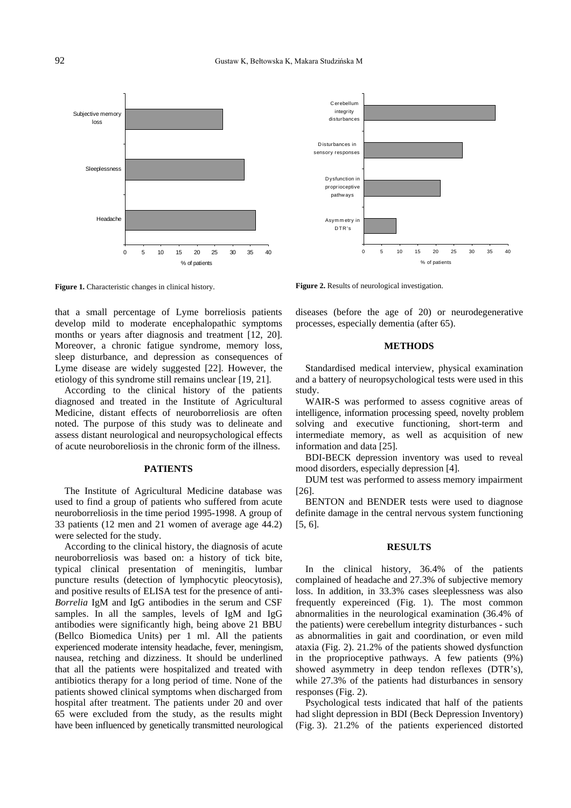

**Figure 1.** Characteristic changes in clinical history.

that a small percentage of Lyme borreliosis patients develop mild to moderate encephalopathic symptoms months or years after diagnosis and treatment [12, 20]. Moreover, a chronic fatigue syndrome, memory loss, sleep disturbance, and depression as consequences of Lyme disease are widely suggested [22]. However, the etiology of this syndrome still remains unclear [19, 21].

According to the clinical history of the patients diagnosed and treated in the Institute of Agricultural Medicine, distant effects of neuroborreliosis are often noted. The purpose of this study was to delineate and assess distant neurological and neuropsychological effects of acute neuroboreliosis in the chronic form of the illness.

### **PATIENTS**

The Institute of Agricultural Medicine database was used to find a group of patients who suffered from acute neuroborreliosis in the time period 1995-1998. A group of 33 patients (12 men and 21 women of average age 44.2) were selected for the study.

According to the clinical history, the diagnosis of acute neuroborreliosis was based on: a history of tick bite, typical clinical presentation of meningitis, lumbar puncture results (detection of lymphocytic pleocytosis), and positive results of ELISA test for the presence of anti-*Borrelia* IgM and IgG antibodies in the serum and CSF samples. In all the samples, levels of IgM and IgG antibodies were significantly high, being above 21 BBU (Bellco Biomedica Units) per 1 ml. All the patients experienced moderate intensity headache, fever, meningism, nausea, retching and dizziness. It should be underlined that all the patients were hospitalized and treated with antibiotics therapy for a long period of time. None of the patients showed clinical symptoms when discharged from hospital after treatment. The patients under 20 and over 65 were excluded from the study, as the results might have been influenced by genetically transmitted neurological



**Figure 2.** Results of neurological investigation.

diseases (before the age of 20) or neurodegenerative processes, especially dementia (after 65).

#### **METHODS**

Standardised medical interview, physical examination and a battery of neuropsychological tests were used in this study.

WAIR-S was performed to assess cognitive areas of intelligence, information processing speed, novelty problem solving and executive functioning, short-term and intermediate memory, as well as acquisition of new information and data [25].

BDI-BECK depression inventory was used to reveal mood disorders, especially depression [4].

DUM test was performed to assess memory impairment [26].

BENTON and BENDER tests were used to diagnose definite damage in the central nervous system functioning [5, 6].

#### **RESULTS**

In the clinical history, 36.4% of the patients complained of headache and 27.3% of subjective memory loss. In addition, in 33.3% cases sleeplessness was also frequently expereinced (Fig. 1). The most common abnormalities in the neurological examination (36.4% of the patients) were cerebellum integrity disturbances - such as abnormalities in gait and coordination, or even mild ataxia (Fig. 2). 21.2% of the patients showed dysfunction in the proprioceptive pathways. A few patients (9%) showed asymmetry in deep tendon reflexes (DTR's), while 27.3% of the patients had disturbances in sensory responses (Fig. 2).

Psychological tests indicated that half of the patients had slight depression in BDI (Beck Depression Inventory) (Fig. 3). 21.2% of the patients experienced distorted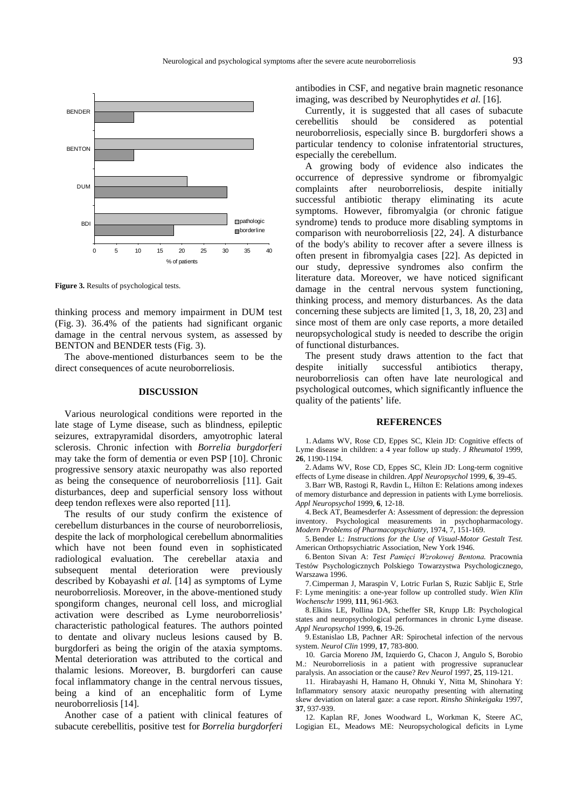

**Figure 3.** Results of psychological tests.

thinking process and memory impairment in DUM test (Fig. 3). 36.4% of the patients had significant organic damage in the central nervous system, as assessed by BENTON and BENDER tests (Fig. 3).

The above-mentioned disturbances seem to be the direct consequences of acute neuroborreliosis.

#### **DISCUSSION**

Various neurological conditions were reported in the late stage of Lyme disease, such as blindness, epileptic seizures, extrapyramidal disorders, amyotrophic lateral sclerosis. Chronic infection with *Borrelia burgdorferi* may take the form of dementia or even PSP [10]. Chronic progressive sensory ataxic neuropathy was also reported as being the consequence of neuroborreliosis [11]. Gait disturbances, deep and superficial sensory loss without deep tendon reflexes were also reported [11].

The results of our study confirm the existence of cerebellum disturbances in the course of neuroborreliosis, despite the lack of morphological cerebellum abnormalities which have not been found even in sophisticated radiological evaluation. The cerebellar ataxia and subsequent mental deterioration were previously described by Kobayashi *et al.* [14] as symptoms of Lyme neuroborreliosis. Moreover, in the above-mentioned study spongiform changes, neuronal cell loss, and microglial activation were described as Lyme neuroborreliosis' characteristic pathological features. The authors pointed to dentate and olivary nucleus lesions caused by B. burgdorferi as being the origin of the ataxia symptoms. Mental deterioration was attributed to the cortical and thalamic lesions. Moreover, B. burgdorferi can cause focal inflammatory change in the central nervous tissues, being a kind of an encephalitic form of Lyme neuroborreliosis [14].

Another case of a patient with clinical features of subacute cerebellitis, positive test for *Borrelia burgdorferi* antibodies in CSF, and negative brain magnetic resonance imaging, was described by Neurophytides *et al*. [16].

Currently, it is suggested that all cases of subacute cerebellitis should be considered as potential neuroborreliosis, especially since B. burgdorferi shows a particular tendency to colonise infratentorial structures, especially the cerebellum.

A growing body of evidence also indicates the occurrence of depressive syndrome or fibromyalgic complaints after neuroborreliosis, despite initially successful antibiotic therapy eliminating its acute symptoms. However, fibromyalgia (or chronic fatigue syndrome) tends to produce more disabling symptoms in comparison with neuroborreliosis [22, 24]. A disturbance of the body's ability to recover after a severe illness is often present in fibromyalgia cases [22]. As depicted in our study, depressive syndromes also confirm the literature data. Moreover, we have noticed significant damage in the central nervous system functioning, thinking process, and memory disturbances. As the data concerning these subjects are limited [1, 3, 18, 20, 23] and since most of them are only case reports, a more detailed neuropsychological study is needed to describe the origin of functional disturbances.

The present study draws attention to the fact that despite initially successful antibiotics therapy, neuroborreliosis can often have late neurological and psychological outcomes, which significantly influence the quality of the patients' life.

#### **REFERENCES**

1. Adams WV, Rose CD, Eppes SC, Klein JD: Cognitive effects of Lyme disease in children: a 4 year follow up study. *J Rheumatol* 1999, **26**, 1190-1194.

2. Adams WV, Rose CD, Eppes SC, Klein JD: Long-term cognitive effects of Lyme disease in children. *Appl Neuropsychol* 1999, **6**, 39-45.

3. Barr WB, Rastogi R, Ravdin L, Hilton E: Relations among indexes of memory disturbance and depression in patients with Lyme borreliosis. *Appl Neuropsychol* 1999, **6**, 12-18.

4. Beck AT, Beamesderfer A: Assessment of depression: the depression inventory. Psychological measurements in psychopharmacology. *Modern Problems of Pharmacopsychiatry*, 1974, 7, 151-169.

5. Bender L: *Instructions for the Use of Visual-Motor Gestalt Test*. American Orthopsychiatric Association, New York 1946.

6. Benton Sivan A: Test Pamięci Wzrokowej Bentona. Pracownia Testów Psychologicznych Polskiego Towarzystwa Psychologicznego, Warszawa 1996.

7. Cimperman J, Maraspin V, Lotric Furlan S, Ruzic Sabljic E, Strle F: Lyme meningitis: a one-year follow up controlled study. *Wien Klin Wochenschr* 1999, **111**, 961-963.

8. Elkins LE, Pollina DA, Scheffer SR, Krupp LB: Psychological states and neuropsychological performances in chronic Lyme disease. *Appl Neuropsychol* 1999, **6**, 19-26.

9. Estanislao LB, Pachner AR: Spirochetal infection of the nervous system. *Neurol Clin* 1999, **17**, 783-800.

10. Garcia Moreno JM, Izquierdo G, Chacon J, Angulo S, Borobio M.: Neuroborreliosis in a patient with progressive supranuclear paralysis. An association or the cause? *Rev Neurol* 1997, **25**, 119-121.

11. Hirabayashi H, Hamano H, Ohnuki Y, Nitta M, Shinohara Y: Inflammatory sensory ataxic neuropathy presenting with alternating skew deviation on lateral gaze: a case report. *Rinsho Shinkeigaku* 1997, **37**, 937-939.

12. Kaplan RF, Jones Woodward L, Workman K, Steere AC, Logigian EL, Meadows ME: Neuropsychological deficits in Lyme